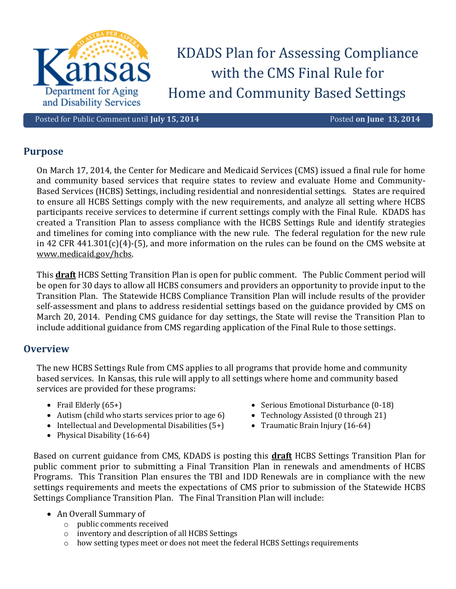

KDADS Plan for Assessing Compliance with the CMS Final Rule for Home and Community Based Settings

Posted for Public Comment until **July 15, 2014** Posted **on June 13, 2014** 

## **Purpose**

On March 17, 2014, the Center for Medicare and Medicaid Services (CMS) issued a final rule for home and community based services that require states to review and evaluate Home and Community-Based Services (HCBS) Settings, including residential and nonresidential settings. States are required to ensure all HCBS Settings comply with the new requirements, and analyze all setting where HCBS participants receive services to determine if current settings comply with the Final Rule. KDADS has created a Transition Plan to assess compliance with the HCBS Settings Rule and identify strategies and timelines for coming into compliance with the new rule. The federal regulation for the new rule in 42 CFR 441.301(c)(4)-(5), and more information on the rules can be found on the CMS website at [www.medicaid.gov/hcbs.](http://www.medicaid.gov/hcbs)

This **draft** HCBS Setting Transition Plan is open for public comment. The Public Comment period will be open for 30 days to allow all HCBS consumers and providers an opportunity to provide input to the Transition Plan. The Statewide HCBS Compliance Transition Plan will include results of the provider self-assessment and plans to address residential settings based on the guidance provided by CMS on March 20, 2014. Pending CMS guidance for day settings, the State will revise the Transition Plan to include additional guidance from CMS regarding application of the Final Rule to those settings.

## **Overview**

The new HCBS Settings Rule from CMS applies to all programs that provide home and community based services. In Kansas, this rule will apply to all settings where home and community based services are provided for these programs:

- Frail Elderly  $(65+)$
- Autism (child who starts services prior to age 6)
- $\bullet$  Intellectual and Developmental Disabilities (5+)
- Physical Disability (16-64)
- Serious Emotional Disturbance (0-18)
- Technology Assisted (0 through 21)
- Traumatic Brain Injury (16-64)

Based on current guidance from CMS, KDADS is posting this **draft** HCBS Settings Transition Plan for public comment prior to submitting a Final Transition Plan in renewals and amendments of HCBS Programs. This Transition Plan ensures the TBI and IDD Renewals are in compliance with the new settings requirements and meets the expectations of CMS prior to submission of the Statewide HCBS Settings Compliance Transition Plan. The Final Transition Plan will include:

- An Overall Summary of
	- o public comments received
	- o inventory and description of all HCBS Settings
	- o how setting types meet or does not meet the federal HCBS Settings requirements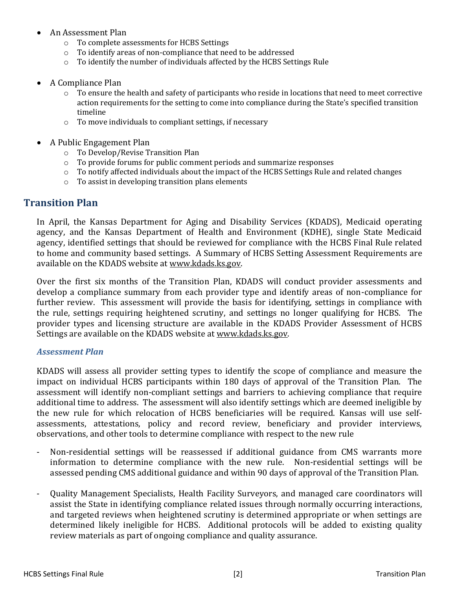- An Assessment Plan
	- o To complete assessments for HCBS Settings
	- o To identify areas of non-compliance that need to be addressed
	- o To identify the number of individuals affected by the HCBS Settings Rule
- A Compliance Plan
	- o To ensure the health and safety of participants who reside in locations that need to meet corrective action requirements for the setting to come into compliance during the State's specified transition timeline
	- o To move individuals to compliant settings, if necessary
- A Public Engagement Plan
	- o To Develop/Revise Transition Plan
	- o To provide forums for public comment periods and summarize responses
	- o To notify affected individuals about the impact of the HCBS Settings Rule and related changes
	- o To assist in developing transition plans elements

# **Transition Plan**

In April, the Kansas Department for Aging and Disability Services (KDADS), Medicaid operating agency, and the Kansas Department of Health and Environment (KDHE), single State Medicaid agency, identified settings that should be reviewed for compliance with the HCBS Final Rule related to home and community based settings. A Summary of HCBS Setting Assessment Requirements are available on the KDADS website at [www.kdads.ks.gov.](http://www.kdads.ks.gov/) 

Over the first six months of the Transition Plan, KDADS will conduct provider assessments and develop a compliance summary from each provider type and identify areas of non-compliance for further review. This assessment will provide the basis for identifying, settings in compliance with the rule, settings requiring heightened scrutiny, and settings no longer qualifying for HCBS. The provider types and licensing structure are available in the KDADS Provider Assessment of HCBS Settings are available on the KDADS website at [www.kdads.ks.gov.](http://www.kdads.ks.gov/) 

## *Assessment Plan*

KDADS will assess all provider setting types to identify the scope of compliance and measure the impact on individual HCBS participants within 180 days of approval of the Transition Plan. The assessment will identify non-compliant settings and barriers to achieving compliance that require additional time to address. The assessment will also identify settings which are deemed ineligible by the new rule for which relocation of HCBS beneficiaries will be required. Kansas will use selfassessments, attestations, policy and record review, beneficiary and provider interviews, observations, and other tools to determine compliance with respect to the new rule

- Non-residential settings will be reassessed if additional guidance from CMS warrants more information to determine compliance with the new rule. Non-residential settings will be assessed pending CMS additional guidance and within 90 days of approval of the Transition Plan.
- Quality Management Specialists, Health Facility Surveyors, and managed care coordinators will assist the State in identifying compliance related issues through normally occurring interactions, and targeted reviews when heightened scrutiny is determined appropriate or when settings are determined likely ineligible for HCBS. Additional protocols will be added to existing quality review materials as part of ongoing compliance and quality assurance.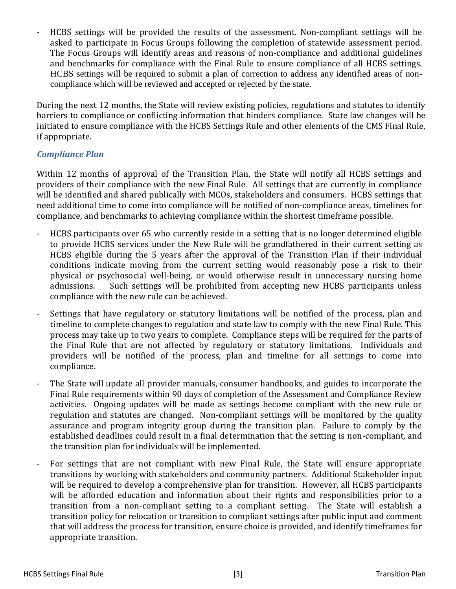- HCBS settings will be provided the results of the assessment. Non-compliant settings will be asked to participate in Focus Groups following the completion of statewide assessment period. The Focus Groups will identify areas and reasons of non-compliance and additional guidelines and benchmarks for compliance with the Final Rule to ensure compliance of all HCBS settings. HCBS settings will be required to submit a plan of correction to address any identified areas of noncompliance which will be reviewed and accepted or rejected by the state.

During the next 12 months, the State will review existing policies, regulations and statutes to identify barriers to compliance or conflicting information that hinders compliance. State law changes will be initiated to ensure compliance with the HCBS Settings Rule and other elements of the CMS Final Rule, if appropriate.

# *Compliance Plan*

Within 12 months of approval of the Transition Plan, the State will notify all HCBS settings and providers of their compliance with the new Final Rule. All settings that are currently in compliance will be identified and shared publically with MCOs, stakeholders and consumers. HCBS settings that need additional time to come into compliance will be notified of non-compliance areas, timelines for compliance, and benchmarks to achieving compliance within the shortest timeframe possible.

- HCBS participants over 65 who currently reside in a setting that is no longer determined eligible to provide HCBS services under the New Rule will be grandfathered in their current setting as HCBS eligible during the 5 years after the approval of the Transition Plan if their individual conditions indicate moving from the current setting would reasonably pose a risk to their physical or psychosocial well-being, or would otherwise result in unnecessary nursing home admissions. Such settings will be prohibited from accepting new HCBS participants unless compliance with the new rule can be achieved.
- Settings that have regulatory or statutory limitations will be notified of the process, plan and timeline to complete changes to regulation and state law to comply with the new Final Rule. This process may take up to two years to complete. Compliance steps will be required for the parts of the Final Rule that are not affected by regulatory or statutory limitations. Individuals and providers will be notified of the process, plan and timeline for all settings to come into compliance.
- The State will update all provider manuals, consumer handbooks, and guides to incorporate the Final Rule requirements within 90 days of completion of the Assessment and Compliance Review activities. Ongoing updates will be made as settings become compliant with the new rule or regulation and statutes are changed. Non-compliant settings will be monitored by the quality assurance and program integrity group during the transition plan. Failure to comply by the established deadlines could result in a final determination that the setting is non-compliant, and the transition plan for individuals will be implemented.
- For settings that are not compliant with new Final Rule, the State will ensure appropriate transitions by working with stakeholders and community partners. Additional Stakeholder input will be required to develop a comprehensive plan for transition. However, all HCBS participants will be afforded education and information about their rights and responsibilities prior to a transition from a non-compliant setting to a compliant setting. The State will establish a transition policy for relocation or transition to compliant settings after public input and comment that will address the process for transition, ensure choice is provided, and identify timeframes for appropriate transition.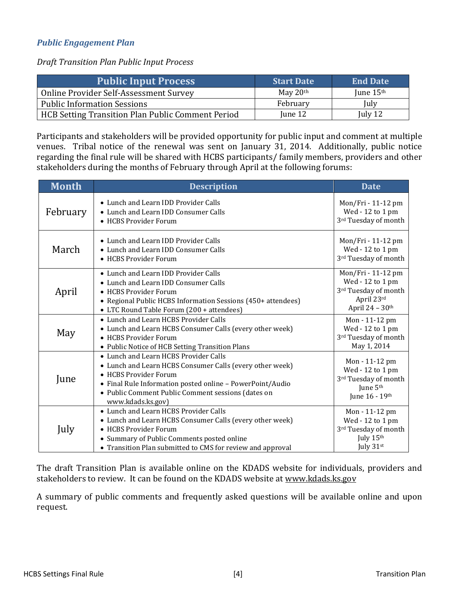# *Public Engagement Plan*

*Draft Transition Plan Public Input Process*

| <b>Public Input Process</b>                              | <b>Start Date</b> | <b>End Date</b> |
|----------------------------------------------------------|-------------------|-----------------|
| Online Provider Self-Assessment Survey                   | May $20th$        | June $15th$     |
| <b>Public Information Sessions</b>                       | February          | July            |
| <b>HCB Setting Transition Plan Public Comment Period</b> | June 12           | July $12$       |

Participants and stakeholders will be provided opportunity for public input and comment at multiple venues. Tribal notice of the renewal was sent on January 31, 2014. Additionally, public notice regarding the final rule will be shared with HCBS participants/ family members, providers and other stakeholders during the months of February through April at the following forums:

| <b>Month</b> | <b>Description</b>                                                                                                                                                                                                                                                 | <b>Date</b>                                                                                          |
|--------------|--------------------------------------------------------------------------------------------------------------------------------------------------------------------------------------------------------------------------------------------------------------------|------------------------------------------------------------------------------------------------------|
| February     | • Lunch and Learn IDD Provider Calls<br>• Lunch and Learn IDD Consumer Calls<br>• HCBS Provider Forum                                                                                                                                                              | Mon/Fri - 11-12 pm<br>Wed - 12 to 1 pm<br>3rd Tuesday of month                                       |
| March        | • Lunch and Learn IDD Provider Calls<br>• Lunch and Learn IDD Consumer Calls<br>• HCBS Provider Forum                                                                                                                                                              | Mon/Fri - 11-12 pm<br>Wed - 12 to 1 pm<br>3rd Tuesday of month                                       |
| April        | • Lunch and Learn IDD Provider Calls<br>• Lunch and Learn IDD Consumer Calls<br>• HCBS Provider Forum<br>• Regional Public HCBS Information Sessions (450+ attendees)<br>• LTC Round Table Forum (200 + attendees)                                                 | Mon/Fri - 11-12 pm<br>Wed - 12 to 1 pm<br>3rd Tuesday of month<br>April 23rd<br>April 24 - 30th      |
| May          | • Lunch and Learn HCBS Provider Calls<br>• Lunch and Learn HCBS Consumer Calls (every other week)<br>• HCBS Provider Forum<br>• Public Notice of HCB Setting Transition Plans                                                                                      | Mon - 11-12 pm<br>Wed - 12 to 1 pm<br>3rd Tuesday of month<br>May 1, 2014                            |
| June         | • Lunch and Learn HCBS Provider Calls<br>• Lunch and Learn HCBS Consumer Calls (every other week)<br>• HCBS Provider Forum<br>• Final Rule Information posted online - PowerPoint/Audio<br>• Public Comment Public Comment sessions (dates on<br>www.kdads.ks.gov) | Mon - 11-12 pm<br>Wed - 12 to 1 pm<br>3rd Tuesday of month<br>June 5 <sup>th</sup><br>June 16 - 19th |
| July         | • Lunch and Learn HCBS Provider Calls<br>• Lunch and Learn HCBS Consumer Calls (every other week)<br>• HCBS Provider Forum<br>• Summary of Public Comments posted online<br>• Transition Plan submitted to CMS for review and approval                             | Mon - 11-12 pm<br>Wed - 12 to 1 pm<br>3rd Tuesday of month<br>July 15th<br>July $31st$               |

The draft Transition Plan is available online on the KDADS website for individuals, providers and stakeholders to review. It can be found on the KDADS website at [www.kdads.ks.gov](http://www.kdads.ks.gov/)

A summary of public comments and frequently asked questions will be available online and upon request.